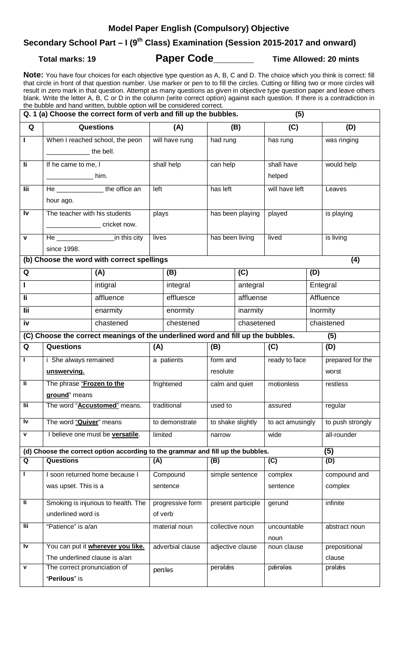### **Model Paper English (Compulsory) Objective**

# **Secondary School Part – I (9th Class) Examination (Session 2015-2017 and onward)**

**Total marks: 19 Paper Code\_\_\_\_\_\_\_ Time Allowed: 20 mints**

**Note:** You have four choices for each objective type question as A, B, C and D. The choice which you think is correct: fill that circle in front of that question number. Use marker or pen to to fill the circles. Cutting or filling two or more circles will result in zero mark in that question. Attempt as many questions as given in objective type question paper and leave others blank. Write the letter A, B, C or D in the column (write correct option) against each question. If there is a contradiction in the bubble and hand written, bubble option will be considered correct.

| Q. 1 (a) Choose the correct form of verb and fill up the bubbles.<br>(5)               |                                                                                                                                                        |  |                  |                  |                      |            |                     |            |                           |
|----------------------------------------------------------------------------------------|--------------------------------------------------------------------------------------------------------------------------------------------------------|--|------------------|------------------|----------------------|------------|---------------------|------------|---------------------------|
| Q                                                                                      | <b>Questions</b>                                                                                                                                       |  | (A)              |                  | (B)                  |            | (C)                 |            | (D)                       |
| Т                                                                                      | When I reached school, the peon<br>the bell.                                                                                                           |  | will have rung   |                  | had rung             |            | has rung            |            | was ringing               |
| $\overline{\mathbf{I}}$                                                                | If he came to me, I                                                                                                                                    |  | shall help       |                  | can help             |            | shall have          |            | would help                |
|                                                                                        | _____________________ him.                                                                                                                             |  |                  |                  |                      |            | helped              |            |                           |
| $\overline{\mathsf{I}\mathsf{I}\mathsf{I}}$                                            | He ________________the office an<br>hour ago.                                                                                                          |  | left             |                  | has left             |            | will have left      |            | Leaves                    |
| Iv                                                                                     | The teacher with his students<br><u>Contract Contract Contract Contract Contract Contract Contract Contract Contract Contract Contract Contract Co</u> |  | plays            |                  | has been playing     |            | played              |            | is playing                |
| $\pmb{\mathsf{V}}$                                                                     | He in this city<br>since 1998.                                                                                                                         |  | lives            |                  | has been living      |            | lived               |            | is living                 |
| (b) Choose the word with correct spellings<br>(4)                                      |                                                                                                                                                        |  |                  |                  |                      |            |                     |            |                           |
| Q                                                                                      | (A)                                                                                                                                                    |  | (B)              |                  | (C)                  |            | (D)                 |            |                           |
|                                                                                        | intigral                                                                                                                                               |  | integral         |                  |                      | antegral   |                     |            | Entegral                  |
| Ιi                                                                                     | affluence                                                                                                                                              |  | effluesce        |                  |                      | affluense  |                     |            | Affluence                 |
| lii.                                                                                   | enarmity                                                                                                                                               |  | enormity         |                  |                      | inarmity   |                     | Inormity   |                           |
| iv                                                                                     | chastened                                                                                                                                              |  | chestened        |                  |                      | chasetened |                     | chaistened |                           |
| (C) Choose the correct meanings of the underlined word and fill up the bubbles.<br>(5) |                                                                                                                                                        |  |                  |                  |                      |            |                     |            |                           |
| Q                                                                                      | <b>Questions</b>                                                                                                                                       |  | (A)              |                  | (B)                  |            | (C)                 |            | (D)                       |
| Τ                                                                                      | i She always remained<br>unswerving.                                                                                                                   |  | a patients       |                  | form and<br>resolute |            | ready to face       |            | prepared for the<br>worst |
| Ιi                                                                                     | The phrase "Frozen to the<br>ground" means                                                                                                             |  | frightened       |                  | calm and quiet       |            | motionless          |            | restless                  |
| lii.                                                                                   | The word "Accustomed" means.                                                                                                                           |  | traditional      |                  | used to              |            | assured             |            | regular                   |
| Iv                                                                                     | The word "Quiver" means                                                                                                                                |  | to demonstrate   |                  | to shake slightly    |            | to act amusingly    |            | to push strongly          |
| $\mathbf v$                                                                            | I believe one must be versatile.                                                                                                                       |  | limited          |                  | narrow               |            | wide                |            | all-rounder               |
| (5)<br>(d) Choose the correct option according to the grammar and fill up the bubbles. |                                                                                                                                                        |  |                  |                  |                      |            |                     |            |                           |
| Q                                                                                      | <b>Questions</b>                                                                                                                                       |  |                  | (A)              | (B)                  |            | (C)                 |            | (D)                       |
|                                                                                        | I soon returned home because I                                                                                                                         |  | Compound         |                  | simple sentence      |            | complex             |            | compound and              |
|                                                                                        | was upset. This is a                                                                                                                                   |  | sentence         |                  |                      |            | sentence            |            | complex                   |
| li.                                                                                    | Smoking is injurious to health. The                                                                                                                    |  | progressive form |                  | present participle   |            | gerund              |            | infinite                  |
|                                                                                        | underlined word is                                                                                                                                     |  | of verb          |                  |                      |            |                     |            |                           |
| <b>Tii</b>                                                                             | "Patience" is a/an                                                                                                                                     |  |                  | material noun    | collective noun      |            | uncountable<br>noun |            | abstract noun             |
| I۷                                                                                     | You can put it wherever you like.                                                                                                                      |  |                  | adverbial clause | adjective clause     |            | noun clause         |            | prepositional             |
| $\mathbf v$                                                                            | The underlined clause is a/an<br>The correct pronunciation of                                                                                          |  |                  |                  | peralæs              |            | pæralas             |            | clause<br>prəlæs          |
|                                                                                        | 'Perilous" is                                                                                                                                          |  |                  | periles          |                      |            |                     |            |                           |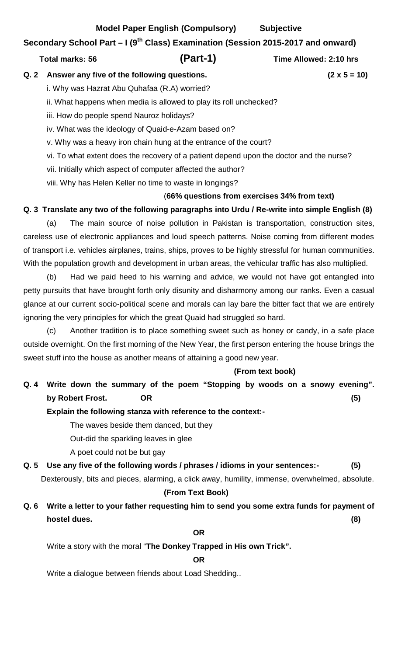#### **Model Paper English (Compulsory) Subjective**

### **Secondary School Part – I (9th Class) Examination (Session 2015-2017 and onward)**

#### **Total marks: 56 (Part-1) Time Allowed: 2:10 hrs**

**Q. 2 Answer any five of the following questions. (2 x 5 = 10)** 

i. Why was Hazrat Abu Quhafaa (R.A) worried?

ii. What happens when media is allowed to play its roll unchecked?

iii. How do people spend Nauroz holidays?

iv. What was the ideology of Quaid-e-Azam based on?

v. Why was a heavy iron chain hung at the entrance of the court?

vi. To what extent does the recovery of a patient depend upon the doctor and the nurse?

vii. Initially which aspect of computer affected the author?

viii. Why has Helen Keller no time to waste in longings?

# (**66% questions from exercises 34% from text)**

# **Q. 3 Translate any two of the following paragraphs into Urdu / Re-write into simple English (8)**

(a) The main source of noise pollution in Pakistan is transportation, construction sites, careless use of electronic appliances and loud speech patterns. Noise coming from different modes of transport i.e. vehicles airplanes, trains, ships, proves to be highly stressful for human communities. With the population growth and development in urban areas, the vehicular traffic has also multiplied.

(b) Had we paid heed to his warning and advice, we would not have got entangled into petty pursuits that have brought forth only disunity and disharmony among our ranks. Even a casual glance at our current socio-political scene and morals can lay bare the bitter fact that we are entirely ignoring the very principles for which the great Quaid had struggled so hard.

(c) Another tradition is to place something sweet such as honey or candy, in a safe place outside overnight. On the first morning of the New Year, the first person entering the house brings the sweet stuff into the house as another means of attaining a good new year.

## **(From text book)**

# **Q. 4 Write down the summary of the poem "Stopping by woods on a snowy evening". by Robert Frost. OR (5)**

## **Explain the following stanza with reference to the context:-**

The waves beside them danced, but they

Out-did the sparkling leaves in glee

A poet could not be but gay

**Q. 5 Use any five of the following words / phrases / idioms in your sentences:- (5)**

Dexterously, bits and pieces, alarming, a click away, humility, immense, overwhelmed, absolute.

## **(From Text Book)**

**Q. 6 Write a letter to your father requesting him to send you some extra funds for payment of hostel dues. (8)**

### **OR**

Write a story with the moral "**The Donkey Trapped in His own Trick".**

## **OR**

Write a dialogue between friends about Load Shedding..